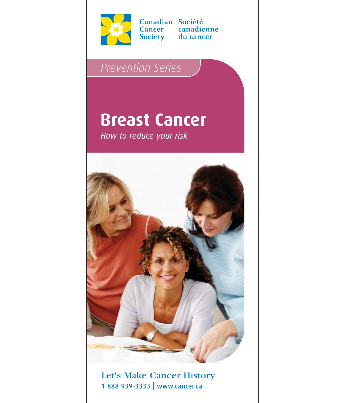

Canadian Société Cancer canadienne Society du cancer

# *Prevention Series*

# **Breast Cancer**

*How to reduce your risk*



Let's Make Cancer History 1 888 939-3333 | www.cancer.ca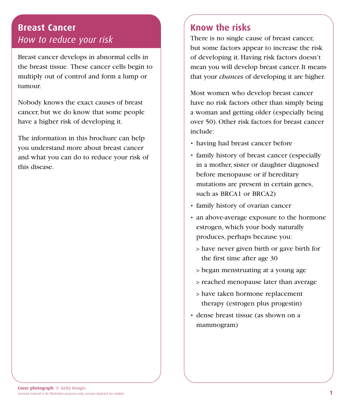## **Breast Cancer** *How to reduce your risk*

Breast cancer develops in abnormal cells in the breast tissue. These cancer cells begin to multiply out of control and form a lump or tumour.

Nobody knows the exact causes of breast cancer, but we do know that some people have a higher risk of developing it.

The information in this brochure can help you understand more about breast cancer and what you can do to reduce your risk of this disease.

## **Know the risks**

There is no single cause of breast cancer, but some factors appear to increase the risk of developing it. Having risk factors doesn't mean you will develop breast cancer. It means that your *chances* of developing it are higher.

Most women who develop breast cancer have no risk factors other than simply being a woman and getting older (especially being over 50). Other risk factors for breast cancer include:

- having had breast cancer before
- family history of breast cancer (especially in a mother, sister or daughter diagnosed before menopause or if hereditary mutations are present in certain genes, such as BRCA1 or BRCA2)
- family history of ovarian cancer
- an above-average exposure to the hormone estrogen, which your body naturally produces, perhaps because you:
	- > have never given birth or gave birth for the first time after age 30
	- > began menstruating at a young age
	- > reached menopause later than average
	- > have taken hormone replacement therapy (estrogen plus progestin)
- dense breast tissue (as shown on a mammogram)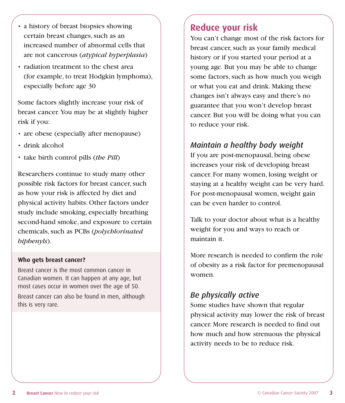- a history of breast biopsies showing certain breast changes, such as an increased number of abnormal cells that are not cancerous (*atypical hyperplasia*)
- radiation treatment to the chest area (for example, to treat Hodgkin lymphoma), especially before age 30

Some factors slightly increase your risk of breast cancer. You may be at slightly higher risk if you:

- are obese (especially after menopause)
- drink alcohol
- take birth control pills (*the Pill*)

Researchers continue to study many other possible risk factors for breast cancer, such as how your risk is affected by diet and physical activity habits. Other factors under study include smoking, especially breathing second-hand smoke, and exposure to certain chemicals, such as PCBs (*polychlorinated biphenyls*).

#### **Who gets breast cancer?**

Breast cancer is the most common cancer in Canadian women. It can happen at any age, but most cases occur in women over the age of 50.

Breast cancer can also be found in men, although this is very rare.

#### **Reduce your risk**

You can't change most of the risk factors for breast cancer, such as your family medical history or if you started your period at a young age. But you may be able to change some factors, such as how much you weigh or what you eat and drink. Making these changes isn't always easy and there's no guarantee that you won't develop breast cancer. But you will be doing what you can to reduce your risk.

#### *Maintain a healthy body weight*

If you are post-menopausal, being obese increases your risk of developing breast cancer. For many women, losing weight or staying at a healthy weight can be very hard. For post-menopausal women, weight gain can be even harder to control.

Talk to your doctor about what is a healthy weight for you and ways to reach or maintain it.

More research is needed to confirm the role of obesity as a risk factor for premenopausal women.

#### *Be physically active*

Some studies have shown that regular physical activity may lower the risk of breast cancer. More research is needed to find out how much and how strenuous the physical activity needs to be to reduce risk.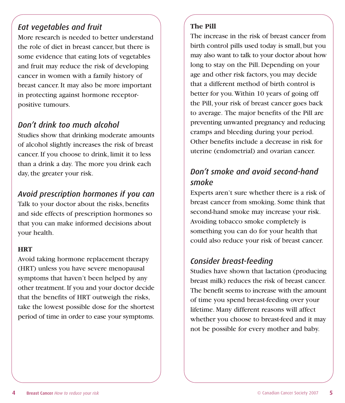#### *Eat vegetables and fruit*

More research is needed to better understand the role of diet in breast cancer, but there is some evidence that eating lots of vegetables and fruit may reduce the risk of developing cancer in women with a family history of breast cancer. It may also be more important in protecting against hormone receptorpositive tumours.

#### *Don't drink too much alcohol*

Studies show that drinking moderate amounts of alcohol slightly increases the risk of breast cancer. If you choose to drink, limit it to less than a drink a day. The more you drink each day, the greater your risk.

#### *Avoid prescription hormones if you can*

Talk to your doctor about the risks, benefits and side effects of prescription hormones so that you can make informed decisions about your health.

#### **HRT**

Avoid taking hormone replacement therapy (HRT) unless you have severe menopausal symptoms that haven't been helped by any other treatment. If you and your doctor decide that the benefits of HRT outweigh the risks, take the lowest possible dose for the shortest period of time in order to ease your symptoms.

#### **The Pill**

The increase in the risk of breast cancer from birth control pills used today is small, but you may also want to talk to your doctor about how long to stay on the Pill. Depending on your age and other risk factors, you may decide that a different method of birth control is better for you. Within 10 years of going off the Pill, your risk of breast cancer goes back to average. The major benefits of the Pill are preventing unwanted pregnancy and reducing cramps and bleeding during your period. Other benefits include a decrease in risk for uterine (endometrial) and ovarian cancer.

## *Don't smoke and avoid second-hand smoke*

Experts aren't sure whether there is a risk of breast cancer from smoking. Some think that second-hand smoke may increase your risk. Avoiding tobacco smoke completely is something you can do for your health that could also reduce your risk of breast cancer.

## *Consider breast-feeding*

Studies have shown that lactation (producing breast milk) reduces the risk of breast cancer. The benefit seems to increase with the amount of time you spend breast-feeding over your lifetime. Many different reasons will affect whether you choose to breast-feed and it may not be possible for every mother and baby.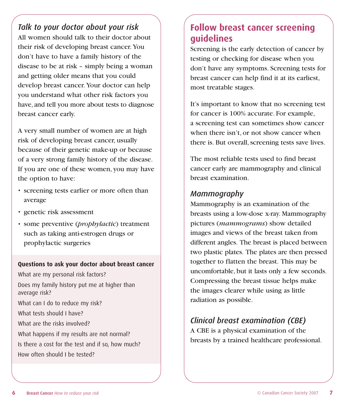*Talk to your doctor about your risk* All women should talk to their doctor about their risk of developing breast cancer. You don't have to have a family history of the disease to be at risk – simply being a woman and getting older means that you could develop breast cancer. Your doctor can help you understand what other risk factors you have, and tell you more about tests to diagnose breast cancer early.

A very small number of women are at high risk of developing breast cancer, usually because of their genetic make-up or because of a very strong family history of the disease. If you are one of these women, you may have the option to have:

- screening tests earlier or more often than average
- genetic risk assessment
- some preventive (*prophylactic*) treatment such as taking anti-estrogen drugs or prophylactic surgeries

#### **Questions to ask your doctor about breast cancer**

What are my personal risk factors? Does my family history put me at higher than average risk? What can I do to reduce my risk? What tests should I have? What are the risks involved? What happens if my results are not normal? Is there a cost for the test and if so, how much? How often should I be tested?

## **Follow breast cancer screening guidelines**

Screening is the early detection of cancer by testing or checking for disease when you don't have any symptoms. Screening tests for breast cancer can help find it at its earliest, most treatable stages.

It's important to know that no screening test for cancer is 100% accurate. For example, a screening test can sometimes show cancer when there isn't, or not show cancer when there is. But overall, screening tests save lives.

The most reliable tests used to find breast cancer early are mammography and clinical breast examination.

#### *Mammography*

Mammography is an examination of the breasts using a low-dose x-ray. Mammography pictures (*mammograms*) show detailed images and views of the breast taken from different angles. The breast is placed between two plastic plates. The plates are then pressed together to flatten the breast. This may be uncomfortable, but it lasts only a few seconds. Compressing the breast tissue helps make the images clearer while using as little radiation as possible.

## *Clinical breast examination (CBE)*

A CBE is a physical examination of the breasts by a trained healthcare professional.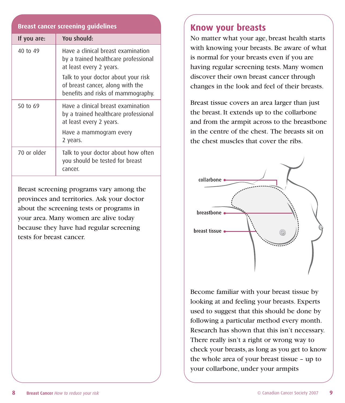#### **Breast cancer screening guidelines**

| If you are: | You should:                                                                                                   |
|-------------|---------------------------------------------------------------------------------------------------------------|
| 40 to 49    | Have a clinical breast examination<br>by a trained healthcare professional<br>at least every 2 years.         |
|             | Talk to your doctor about your risk<br>of breast cancer, along with the<br>benefits and risks of mammography. |
| 50 to 69    | Have a clinical breast examination<br>by a trained healthcare professional<br>at least every 2 years.         |
|             | Have a mammogram every<br>2 years.                                                                            |
| 70 or older | Talk to your doctor about how often<br>you should be tested for breast<br>cancer.                             |

Breast screening programs vary among the provinces and territories. Ask your doctor about the screening tests or programs in your area. Many women are alive today because they have had regular screening tests for breast cancer.

#### **Know your breasts**

No matter what your age, breast health starts with knowing your breasts. Be aware of what is normal for your breasts even if you are having regular screening tests. Many women discover their own breast cancer through changes in the look and feel of their breasts.

Breast tissue covers an area larger than just the breast. It extends up to the collarbone and from the armpit across to the breastbone in the centre of the chest. The breasts sit on the chest muscles that cover the ribs.



Become familiar with your breast tissue by looking at and feeling your breasts. Experts used to suggest that this should be done by following a particular method every month. Research has shown that this isn't necessary. There really isn't a right or wrong way to check your breasts, as long as you get to know the whole area of your breast tissue – up to your collarbone, under your armpits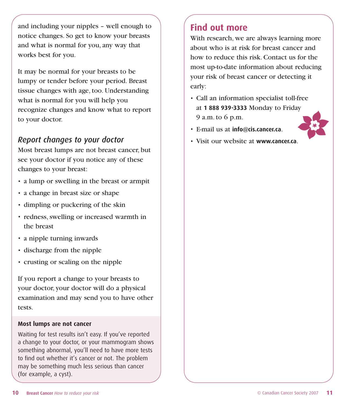and including your nipples – well enough to notice changes. So get to know your breasts and what is normal for you, any way that works best for you.

It may be normal for your breasts to be lumpy or tender before your period. Breast tissue changes with age, too. Understanding what is normal for you will help you recognize changes and know what to report to your doctor.

#### *Report changes to your doctor*

Most breast lumps are not breast cancer, but see your doctor if you notice any of these changes to your breast:

- a lump or swelling in the breast or armpit
- a change in breast size or shape
- dimpling or puckering of the skin
- redness, swelling or increased warmth in the breast
- a nipple turning inwards
- discharge from the nipple
- crusting or scaling on the nipple

If you report a change to your breasts to your doctor, your doctor will do a physical examination and may send you to have other tests.

#### **Most lumps are not cancer**

Waiting for test results isn't easy. If you've reported a change to your doctor, or your mammogram shows something abnormal, you'll need to have more tests to find out whether it's cancer or not. The problem may be something much less serious than cancer (for example, a cyst).

## **Find out more**

With research, we are always learning more about who is at risk for breast cancer and how to reduce this risk. Contact us for the most up-to-date information about reducing your risk of breast cancer or detecting it early:

- Call an information specialist toll-free at **1 888 939-3333** Monday to Friday 9 a.m. to 6 p.m.
- E-mail us at **info@cis.cancer.ca**.



• Visit our website at **www.cancer.ca**.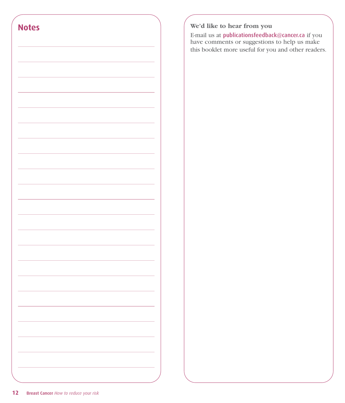

#### **We'd like to hear from you**

E-mail us at publicationsfeedback@cancer.ca if you have comments or suggestions to help us make this booklet more useful for you and other readers.